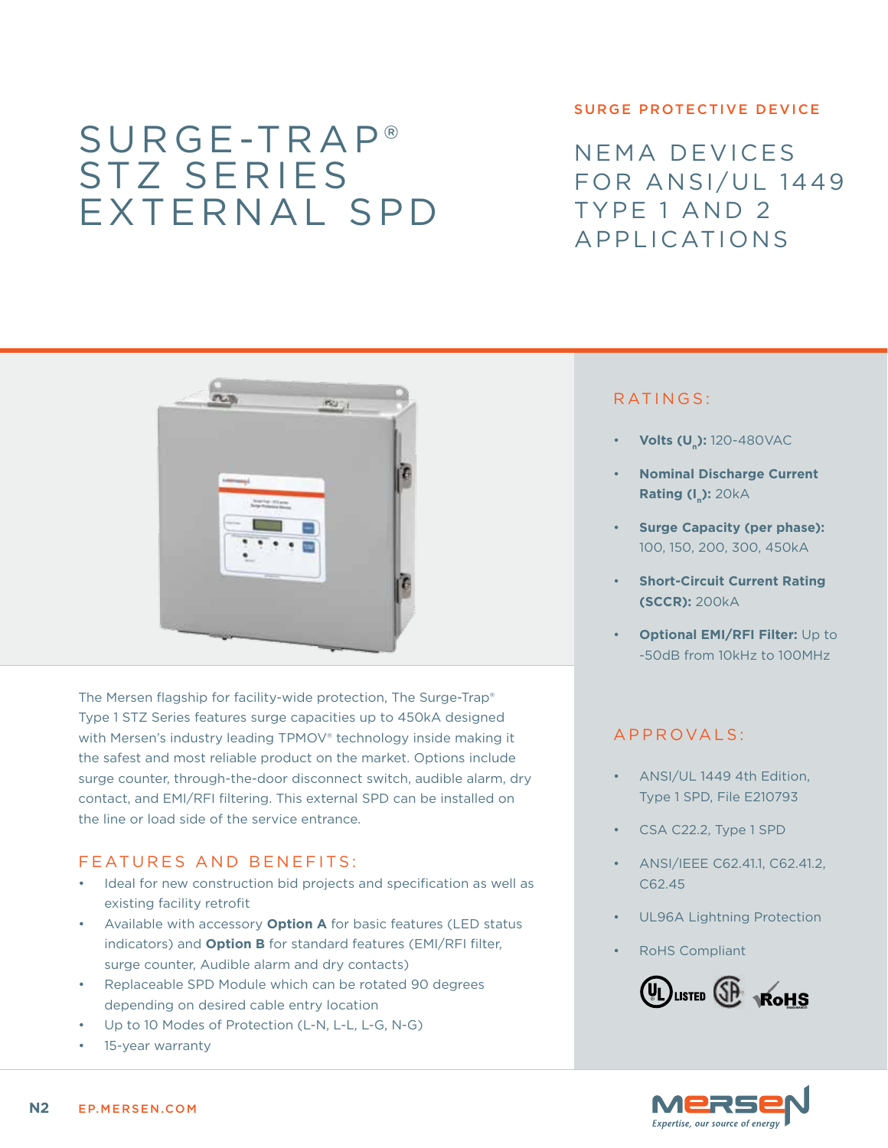# Surge-Trap® STZ series External SPD

#### surge protective device

NEMA devices FOR ANSI/UL 1449 Type 1 and 2 Applications



The Mersen flagship for facility-wide protection, The Surge-Trap® Type 1 STZ Series features surge capacities up to 450kA designed with Mersen's industry leading TPMOV® technology inside making it the safest and most reliable product on the market. Options include surge counter, through-the-door disconnect switch, audible alarm, dry contact, and EMI/RFI filtering. This external SPD can be installed on the line or load side of the service entrance.

### FEATURES AND BENEFITS:

- Ideal for new construction bid projects and specification as well as existing facility retrofit
- Available with accessory **Option A** for basic features (LED status indicators) and **Option B** for standard features (EMI/RFI filter, surge counter, Audible alarm and dry contacts)
- • Replaceable SPD Module which can be rotated 90 degrees depending on desired cable entry location
- Up to 10 Modes of Protection (L-N, L-L, L-G, N-G)
- 15-year warranty

## RATINGS:

- **Volts (U<sub>n</sub>):** 120-480VAC
- **Nominal Discharge Current Rating (I<sub>n</sub>): 20kA**
- **Surge Capacity (per phase):** 100, 150, 200, 300, 450kA
- **Short-Circuit Current Rating (SCCR):** 200kA
- **Optional EMI/RFI Filter: Up to** -50dB from 10kHz to 100MHz

## a pproval s :

- ANSI/UL 1449 4th Edition, Type 1 SPD, File E210793
- CSA C22.2, Type 1 SPD
- ANSI/IEEE C62.41.1, C62.41.2, C62.45
- UL96A Lightning Protection
- **RoHS Compliant**



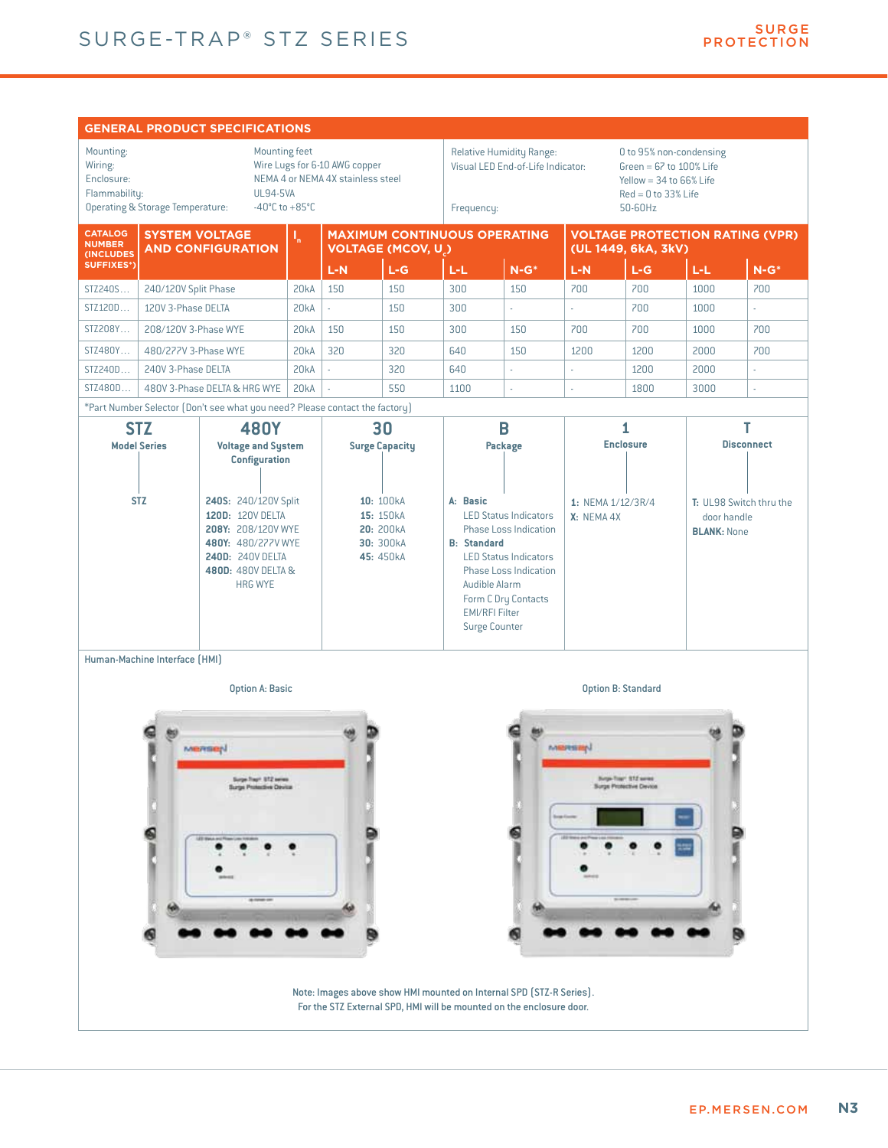

Note: Images above show HMI mounted on Internal SPD (STZ-R Series). For the STZ External SPD, HMI will be mounted on the enclosure door.